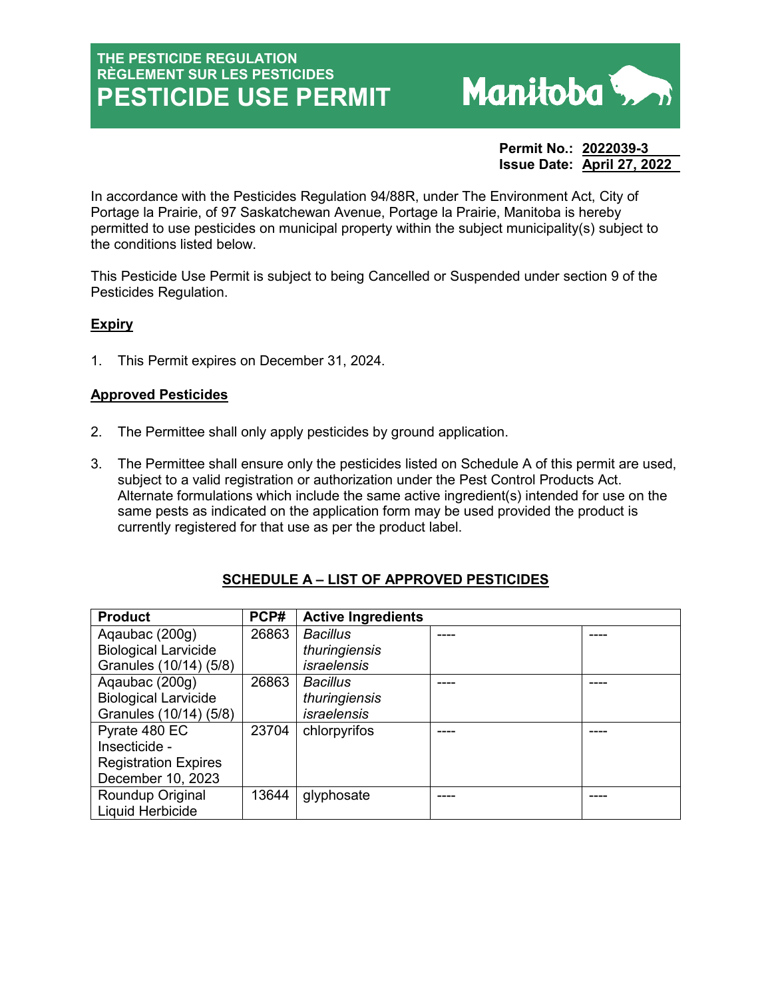# **THE PESTICIDE REGULATION RÈGLEMENT SUR LES PESTICIDES PESTICIDE USE PERMIT**



**Permit No.: 2022039-3 Issue Date: April 27, 2022** 

In accordance with the Pesticides Regulation 94/88R, under The Environment Act, City of Portage la Prairie, of 97 Saskatchewan Avenue, Portage la Prairie, Manitoba is hereby permitted to use pesticides on municipal property within the subject municipality(s) subject to the conditions listed below.

This Pesticide Use Permit is subject to being Cancelled or Suspended under section 9 of the Pesticides Regulation.

# **Expiry**

1. This Permit expires on December 31, 2024.

### **Approved Pesticides**

- 2. The Permittee shall only apply pesticides by ground application.
- 3. The Permittee shall ensure only the pesticides listed on Schedule A of this permit are used, subject to a valid registration or authorization under the Pest Control Products Act. Alternate formulations which include the same active ingredient(s) intended for use on the same pests as indicated on the application form may be used provided the product is currently registered for that use as per the product label.

| <b>Product</b>              | PCP#  | <b>Active Ingredients</b> |  |
|-----------------------------|-------|---------------------------|--|
| Agaubac (200g)              | 26863 | <b>Bacillus</b>           |  |
| <b>Biological Larvicide</b> |       | thuringiensis             |  |
| Granules (10/14) (5/8)      |       | <i>israelensis</i>        |  |
| Agaubac (200g)              | 26863 | <b>Bacillus</b>           |  |
| <b>Biological Larvicide</b> |       | thuringiensis             |  |
| Granules (10/14) (5/8)      |       | <i>israelensis</i>        |  |
| Pyrate 480 EC               | 23704 | chlorpyrifos              |  |
| Insecticide -               |       |                           |  |
| <b>Registration Expires</b> |       |                           |  |
| December 10, 2023           |       |                           |  |
| Roundup Original            | 13644 | glyphosate                |  |
| Liquid Herbicide            |       |                           |  |

# **SCHEDULE A – LIST OF APPROVED PESTICIDES**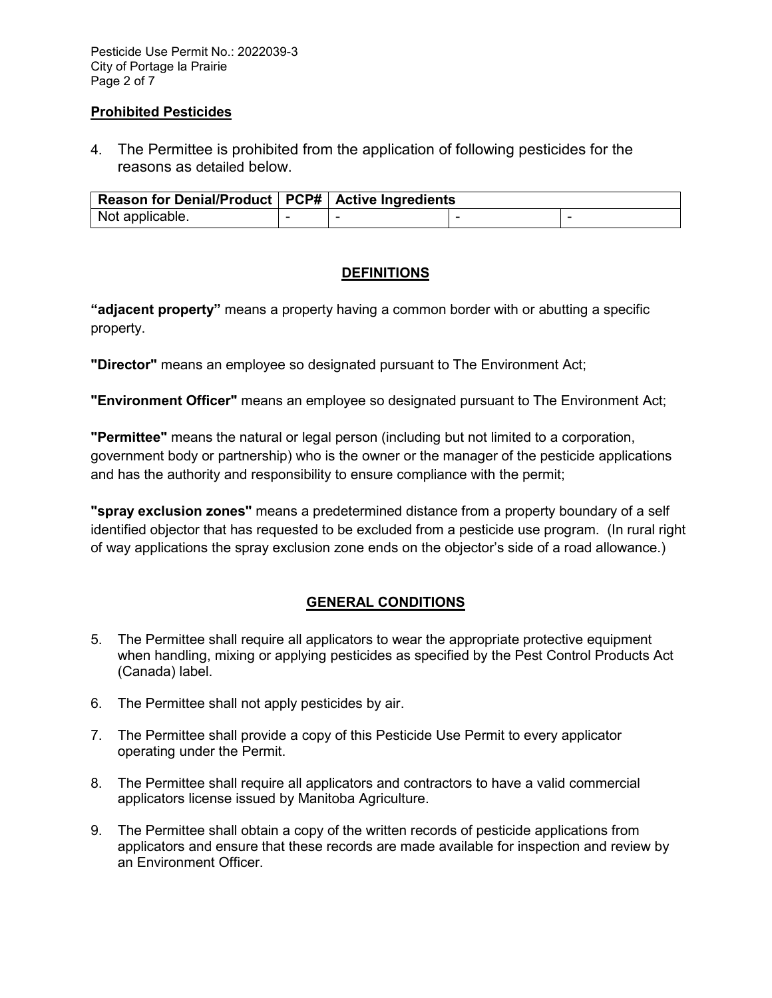Pesticide Use Permit No.: 2022039-3 City of Portage la Prairie Page 2 of 7

#### **Prohibited Pesticides**

4. The Permittee is prohibited from the application of following pesticides for the reasons as detailed below.

| Reason for Denial/Product   PCP#   Active Ingredients |  |  |  |  |
|-------------------------------------------------------|--|--|--|--|
| Not applicable.                                       |  |  |  |  |

# **DEFINITIONS**

**"adjacent property"** means a property having a common border with or abutting a specific property.

**"Director"** means an employee so designated pursuant to The Environment Act;

**"Environment Officer"** means an employee so designated pursuant to The Environment Act;

**"Permittee"** means the natural or legal person (including but not limited to a corporation, government body or partnership) who is the owner or the manager of the pesticide applications and has the authority and responsibility to ensure compliance with the permit;

**"spray exclusion zones"** means a predetermined distance from a property boundary of a self identified objector that has requested to be excluded from a pesticide use program. (In rural right of way applications the spray exclusion zone ends on the objector's side of a road allowance.)

# **GENERAL CONDITIONS**

- 5. The Permittee shall require all applicators to wear the appropriate protective equipment when handling, mixing or applying pesticides as specified by the Pest Control Products Act (Canada) label.
- 6. The Permittee shall not apply pesticides by air.
- 7. The Permittee shall provide a copy of this Pesticide Use Permit to every applicator operating under the Permit.
- 8. The Permittee shall require all applicators and contractors to have a valid commercial applicators license issued by Manitoba Agriculture.
- 9. The Permittee shall obtain a copy of the written records of pesticide applications from applicators and ensure that these records are made available for inspection and review by an Environment Officer.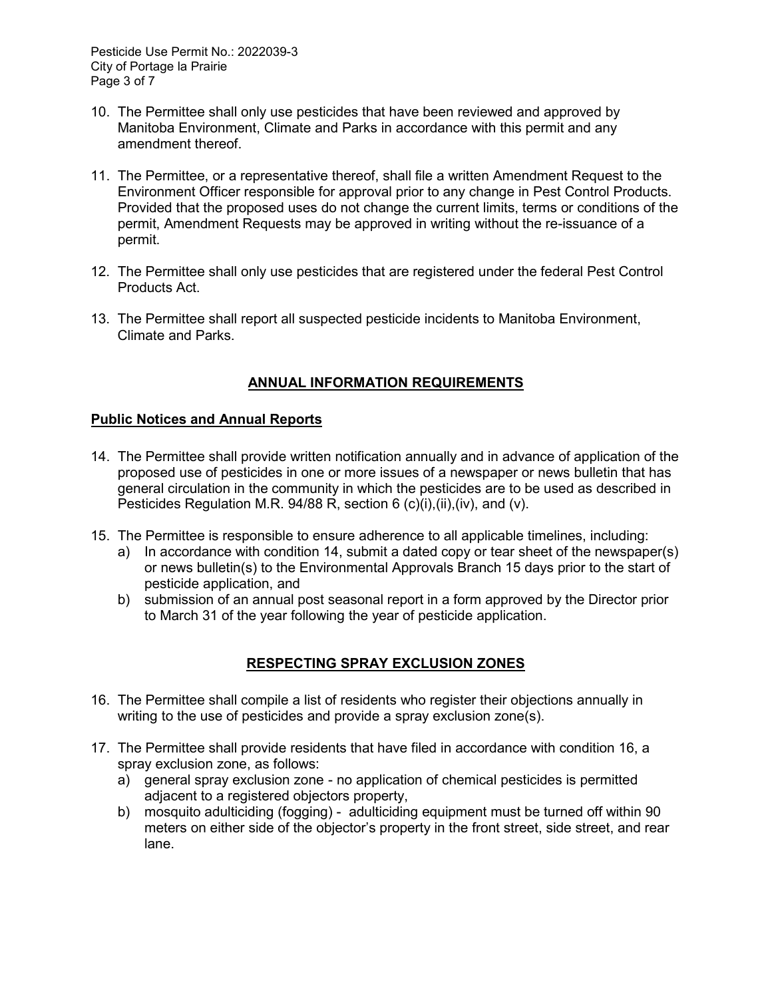Pesticide Use Permit No.: 2022039-3 City of Portage la Prairie Page 3 of 7

- 10. The Permittee shall only use pesticides that have been reviewed and approved by Manitoba Environment, Climate and Parks in accordance with this permit and any amendment thereof.
- 11. The Permittee, or a representative thereof, shall file a written Amendment Request to the Environment Officer responsible for approval prior to any change in Pest Control Products. Provided that the proposed uses do not change the current limits, terms or conditions of the permit, Amendment Requests may be approved in writing without the re-issuance of a permit.
- 12. The Permittee shall only use pesticides that are registered under the federal Pest Control Products Act.
- 13. The Permittee shall report all suspected pesticide incidents to Manitoba Environment, Climate and Parks.

# **ANNUAL INFORMATION REQUIREMENTS**

### **Public Notices and Annual Reports**

- 14. The Permittee shall provide written notification annually and in advance of application of the proposed use of pesticides in one or more issues of a newspaper or news bulletin that has general circulation in the community in which the pesticides are to be used as described in Pesticides Regulation M.R. 94/88 R, section 6 (c)(i),(ii),(iv), and (v).
- 15. The Permittee is responsible to ensure adherence to all applicable timelines, including:
	- a) In accordance with condition 14, submit a dated copy or tear sheet of the newspaper(s) or news bulletin(s) to the Environmental Approvals Branch 15 days prior to the start of pesticide application, and
	- b) submission of an annual post seasonal report in a form approved by the Director prior to March 31 of the year following the year of pesticide application.

# **RESPECTING SPRAY EXCLUSION ZONES**

- 16. The Permittee shall compile a list of residents who register their objections annually in writing to the use of pesticides and provide a spray exclusion zone(s).
- 17. The Permittee shall provide residents that have filed in accordance with condition 16, a spray exclusion zone, as follows:
	- a) general spray exclusion zone no application of chemical pesticides is permitted adjacent to a registered objectors property,
	- b) mosquito adulticiding (fogging) adulticiding equipment must be turned off within 90 meters on either side of the objector's property in the front street, side street, and rear lane.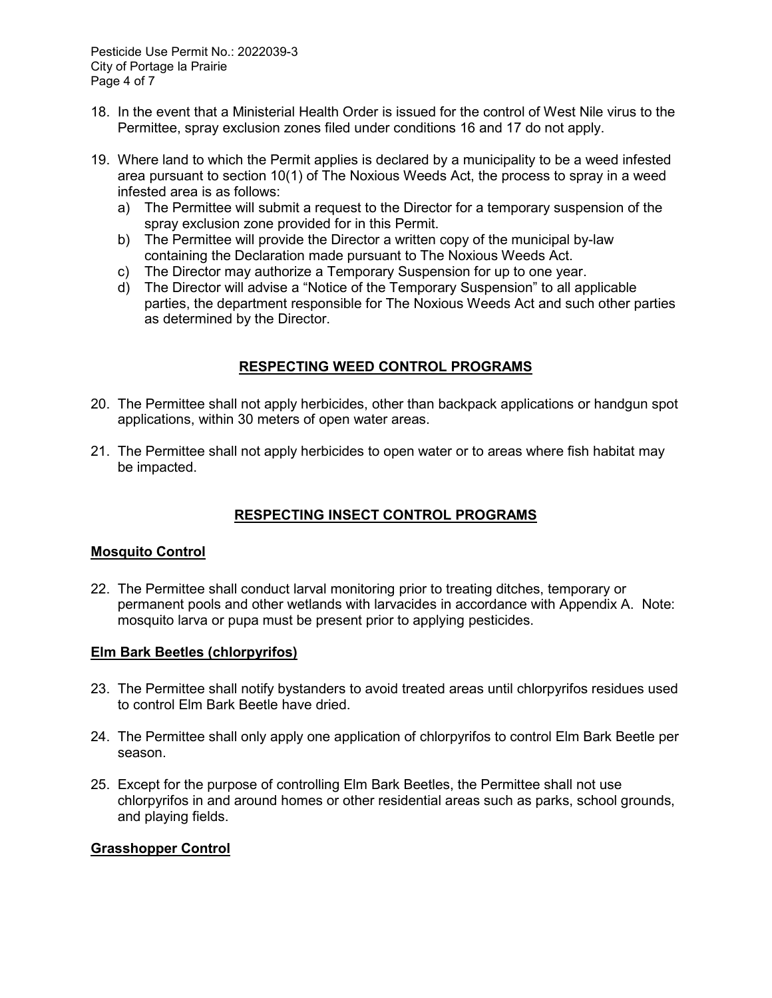- 18. In the event that a Ministerial Health Order is issued for the control of West Nile virus to the Permittee, spray exclusion zones filed under conditions 16 and 17 do not apply.
- 19. Where land to which the Permit applies is declared by a municipality to be a weed infested area pursuant to section 10(1) of The Noxious Weeds Act, the process to spray in a weed infested area is as follows:
	- a) The Permittee will submit a request to the Director for a temporary suspension of the spray exclusion zone provided for in this Permit.
	- b) The Permittee will provide the Director a written copy of the municipal by-law containing the Declaration made pursuant to The Noxious Weeds Act.
	- c) The Director may authorize a Temporary Suspension for up to one year.
	- d) The Director will advise a "Notice of the Temporary Suspension" to all applicable parties, the department responsible for The Noxious Weeds Act and such other parties as determined by the Director.

# **RESPECTING WEED CONTROL PROGRAMS**

- 20. The Permittee shall not apply herbicides, other than backpack applications or handgun spot applications, within 30 meters of open water areas.
- 21. The Permittee shall not apply herbicides to open water or to areas where fish habitat may be impacted.

# **RESPECTING INSECT CONTROL PROGRAMS**

#### **Mosquito Control**

22. The Permittee shall conduct larval monitoring prior to treating ditches, temporary or permanent pools and other wetlands with larvacides in accordance with Appendix A. Note: mosquito larva or pupa must be present prior to applying pesticides.

#### **Elm Bark Beetles (chlorpyrifos)**

- 23. The Permittee shall notify bystanders to avoid treated areas until chlorpyrifos residues used to control Elm Bark Beetle have dried.
- 24. The Permittee shall only apply one application of chlorpyrifos to control Elm Bark Beetle per season.
- 25. Except for the purpose of controlling Elm Bark Beetles, the Permittee shall not use chlorpyrifos in and around homes or other residential areas such as parks, school grounds, and playing fields.

### **Grasshopper Control**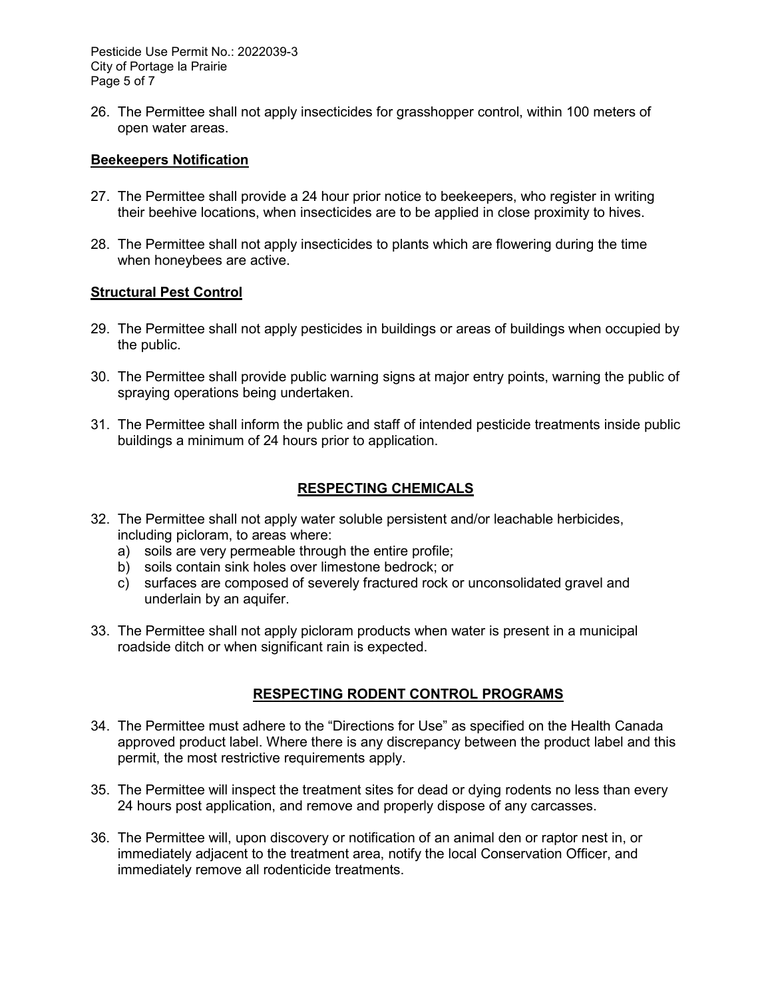Pesticide Use Permit No.: 2022039-3 City of Portage la Prairie Page 5 of 7

26. The Permittee shall not apply insecticides for grasshopper control, within 100 meters of open water areas.

#### **Beekeepers Notification**

- 27. The Permittee shall provide a 24 hour prior notice to beekeepers, who register in writing their beehive locations, when insecticides are to be applied in close proximity to hives.
- 28. The Permittee shall not apply insecticides to plants which are flowering during the time when honeybees are active.

#### **Structural Pest Control**

- 29. The Permittee shall not apply pesticides in buildings or areas of buildings when occupied by the public.
- 30. The Permittee shall provide public warning signs at major entry points, warning the public of spraying operations being undertaken.
- 31. The Permittee shall inform the public and staff of intended pesticide treatments inside public buildings a minimum of 24 hours prior to application.

#### **RESPECTING CHEMICALS**

- 32. The Permittee shall not apply water soluble persistent and/or leachable herbicides, including picloram, to areas where:
	- a) soils are very permeable through the entire profile;
	- b) soils contain sink holes over limestone bedrock; or
	- c) surfaces are composed of severely fractured rock or unconsolidated gravel and underlain by an aquifer.
- 33. The Permittee shall not apply picloram products when water is present in a municipal roadside ditch or when significant rain is expected.

# **RESPECTING RODENT CONTROL PROGRAMS**

- 34. The Permittee must adhere to the "Directions for Use" as specified on the Health Canada approved product label. Where there is any discrepancy between the product label and this permit, the most restrictive requirements apply.
- 35. The Permittee will inspect the treatment sites for dead or dying rodents no less than every 24 hours post application, and remove and properly dispose of any carcasses.
- 36. The Permittee will, upon discovery or notification of an animal den or raptor nest in, or immediately adjacent to the treatment area, notify the local Conservation Officer, and immediately remove all rodenticide treatments.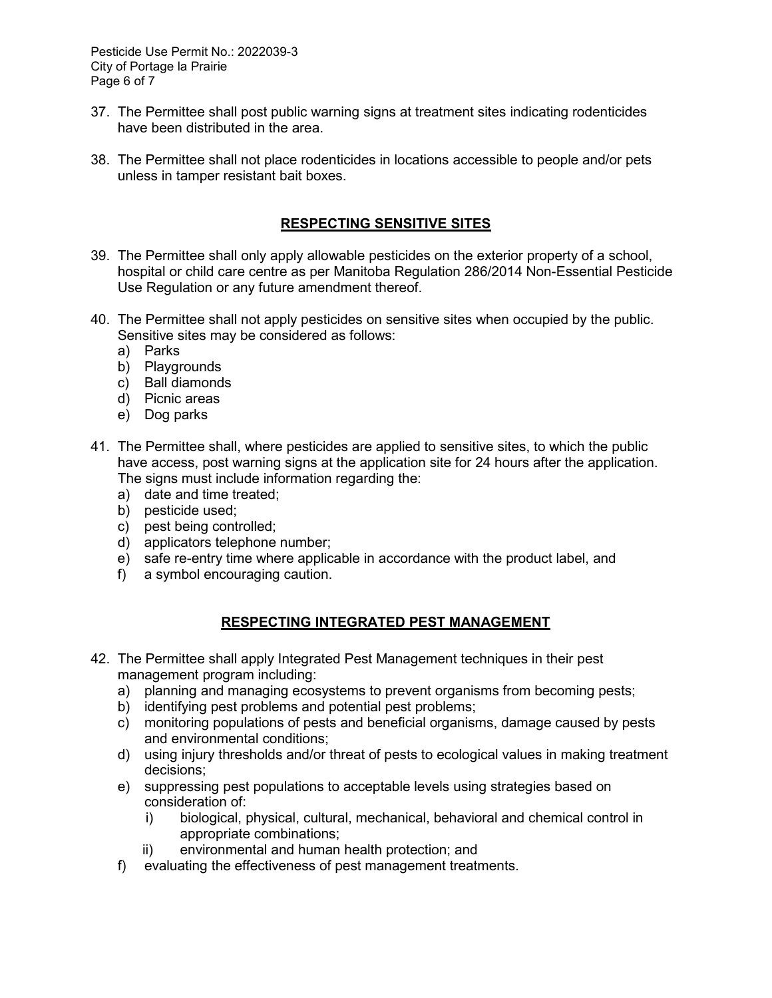Pesticide Use Permit No.: 2022039-3 City of Portage la Prairie Page 6 of 7

- 37. The Permittee shall post public warning signs at treatment sites indicating rodenticides have been distributed in the area.
- 38. The Permittee shall not place rodenticides in locations accessible to people and/or pets unless in tamper resistant bait boxes.

### **RESPECTING SENSITIVE SITES**

- 39. The Permittee shall only apply allowable pesticides on the exterior property of a school, hospital or child care centre as per Manitoba Regulation 286/2014 Non-Essential Pesticide Use Regulation or any future amendment thereof.
- 40. The Permittee shall not apply pesticides on sensitive sites when occupied by the public. Sensitive sites may be considered as follows:
	- a) Parks
	- b) Playgrounds
	- c) Ball diamonds
	- d) Picnic areas
	- e) Dog parks
- 41. The Permittee shall, where pesticides are applied to sensitive sites, to which the public have access, post warning signs at the application site for 24 hours after the application. The signs must include information regarding the:
	- a) date and time treated;
	- b) pesticide used;
	- c) pest being controlled;
	- d) applicators telephone number;
	- e) safe re-entry time where applicable in accordance with the product label, and
	- f) a symbol encouraging caution.

### **RESPECTING INTEGRATED PEST MANAGEMENT**

- 42. The Permittee shall apply Integrated Pest Management techniques in their pest management program including:
	- a) planning and managing ecosystems to prevent organisms from becoming pests;
	- b) identifying pest problems and potential pest problems;
	- c) monitoring populations of pests and beneficial organisms, damage caused by pests and environmental conditions;
	- d) using injury thresholds and/or threat of pests to ecological values in making treatment decisions;
	- e) suppressing pest populations to acceptable levels using strategies based on consideration of:
		- i) biological, physical, cultural, mechanical, behavioral and chemical control in appropriate combinations;
		- ii) environmental and human health protection; and
	- f) evaluating the effectiveness of pest management treatments.